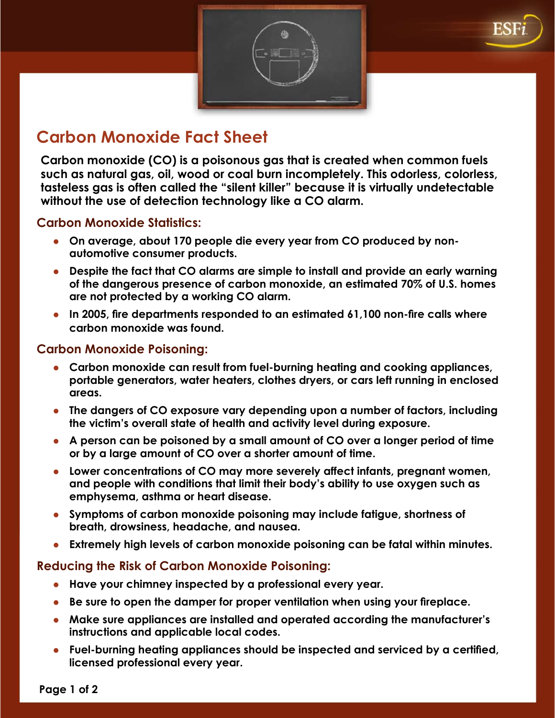## **Carbon Monoxide Fact Sheet**

**Carbon monoxide (CO) is a poisonous gas that is created when common fuels such as natural gas, oil, wood or coal burn incompletely. This odorless, colorless, tasteless gas is often called the "silent killer" because it is virtually undetectable without the use of detection technology like a CO alarm.**

## **Carbon Monoxide Statistics:**

- **On average, about 170 people die every year from CO produced by nonautomotive consumer products.**
- **•** Despite the fact that CO alarms are simple to install and provide an early warning **of the dangerous presence of carbon monoxide, an estimated 70% of U.S. homes are not protected by a working CO alarm.**
- **In 2005, fire departments responded to an estimated 61,100 non-fire calls where carbon monoxide was found.**

## **Carbon Monoxide Poisoning:**

- **Example 20 In terms in text** from fuel-burning heating and cooking appliances, **portable generators, water heaters, clothes dryers, or cars left running in enclosed areas.**
- **Ine dangers of CO exposure vary depending upon a number of factors, including the victim's overall state of health and activity level during exposure.**
- **A person can be poisoned by a small amount of CO over a longer period of time or by a large amount of CO over a shorter amount of time.**
- **EXED LOWER CONCERTIONS OF CO MAY MOTE SEVER IS A LOWER INTEGRAL MOTER INCOCO LOGATE:** LOWER LOWER LOWER, **and people with conditions that limit their body's ability to use oxygen such as emphysema, asthma or heart disease.**
- **Symptoms of carbon monoxide poisoning may include fatigue, shortness of breath, drowsiness, headache, and nausea.**
- **Extremely high levels of carbon monoxide poisoning can be fatal within minutes.**

## **Reducing the Risk of Carbon Monoxide Poisoning:**

- **EXECT Have your chimney inspected by a professional every year.**
- **Be sure to open the damper for proper ventilation when using your fireplace.**
- **Make sure appliances are installed and operated according the manufacturer's instructions and applicable local codes.**
- **E** Fuel-burning heating appliances should be inspected and serviced by a certified, **licensed professional every year.**